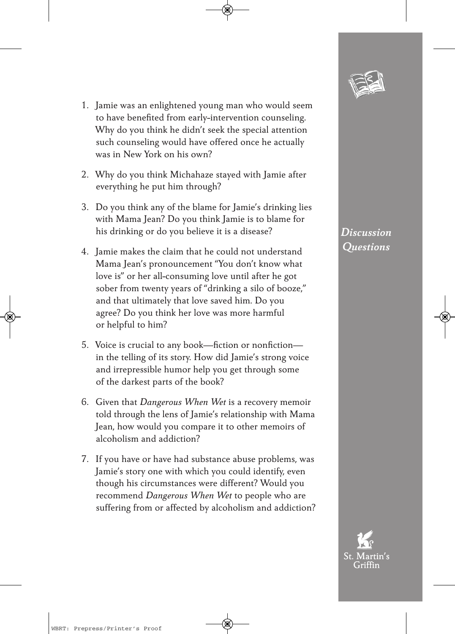- 
- 1. Jamie was an enlightened young man who would seem to have benefited from early-intervention counseling. Why do you think he didn't seek the special attention such counseling would have offered once he actually was in New York on his own?
- 2. Why do you think Michahaze stayed with Jamie after everything he put him through?
- 3. Do you think any of the blame for Jamie's drinking lies with Mama Jean? Do you think Jamie is to blame for his drinking or do you believe it is a disease?
- 4. Jamie makes the claim that he could not understand Mama Jean's pronouncement "You don't know what love is" or her all-consuming love until after he got sober from twenty years of "drinking a silo of booze," and that ultimately that love saved him. Do you agree? Do you think her love was more harmful or helpful to him?
- 5. Voice is crucial to any book—fiction or nonfiction in the telling of its story. How did Jamie's strong voice and irrepressible humor help you get through some of the darkest parts of the book?
- 6. Given that *Dangerous When Wet* is a recovery memoir told through the lens of Jamie's relationship with Mama Jean, how would you compare it to other memoirs of alcoholism and addiction?
- 7. If you have or have had substance abuse problems, was Jamie's story one with which you could identify, even though his circumstances were different? Would you recommend *Dangerous When Wet* to people who are suffering from or affected by alcoholism and addiction?